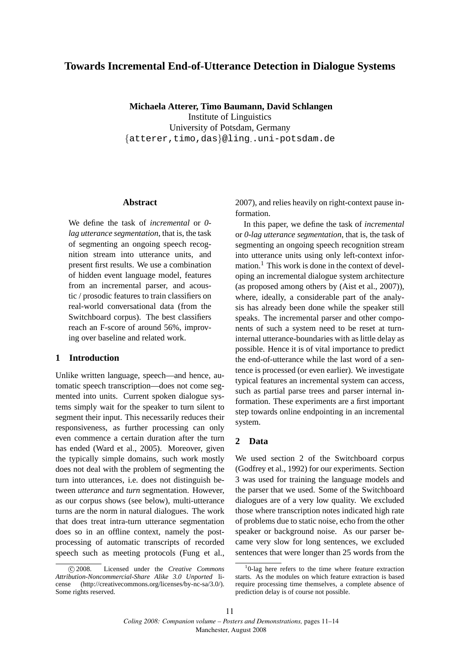# **Towards Incremental End-of-Utterance Detection in Dialogue Systems**

**Michaela Atterer, Timo Baumann, David Schlangen** Institute of Linguistics University of Potsdam, Germany {atterer,timo,das}@ling·.uni-potsdam.de

#### **Abstract**

We define the task of *incremental* or *0 lag utterance segmentation*, that is, the task of segmenting an ongoing speech recognition stream into utterance units, and present first results. We use a combination of hidden event language model, features from an incremental parser, and acoustic / prosodic features to train classifiers on real-world conversational data (from the Switchboard corpus). The best classifiers reach an F-score of around 56%, improving over baseline and related work.

#### **1 Introduction**

Unlike written language, speech—and hence, automatic speech transcription—does not come segmented into units. Current spoken dialogue systems simply wait for the speaker to turn silent to segment their input. This necessarily reduces their responsiveness, as further processing can only even commence a certain duration after the turn has ended (Ward et al., 2005). Moreover, given the typically simple domains, such work mostly does not deal with the problem of segmenting the turn into utterances, i.e. does not distinguish between *utterance* and *turn* segmentation. However, as our corpus shows (see below), multi-utterance turns are the norm in natural dialogues. The work that does treat intra-turn utterance segmentation does so in an offline context, namely the postprocessing of automatic transcripts of recorded speech such as meeting protocols (Fung et al., 2007), and relies heavily on right-context pause information.

In this paper, we define the task of *incremental* or *0-lag utterance segmentation*, that is, the task of segmenting an ongoing speech recognition stream into utterance units using only left-context information.<sup>1</sup> This work is done in the context of developing an incremental dialogue system architecture (as proposed among others by (Aist et al., 2007)), where, ideally, a considerable part of the analysis has already been done while the speaker still speaks. The incremental parser and other components of such a system need to be reset at turninternal utterance-boundaries with as little delay as possible. Hence it is of vital importance to predict the end-of-utterance while the last word of a sentence is processed (or even earlier). We investigate typical features an incremental system can access, such as partial parse trees and parser internal information. These experiments are a first important step towards online endpointing in an incremental system.

### **2 Data**

We used section 2 of the Switchboard corpus (Godfrey et al., 1992) for our experiments. Section 3 was used for training the language models and the parser that we used. Some of the Switchboard dialogues are of a very low quality. We excluded those where transcription notes indicated high rate of problems due to static noise, echo from the other speaker or background noise. As our parser became very slow for long sentences, we excluded sentences that were longer than 25 words from the

c 2008. Licensed under the *Creative Commons Attribution-Noncommercial-Share Alike 3.0 Unported* license (http://creativecommons.org/licenses/by-nc-sa/3.0/). Some rights reserved.

<sup>1</sup> 0-lag here refers to the time where feature extraction starts. As the modules on which feature extraction is based require processing time themselves, a complete absence of prediction delay is of course not possible.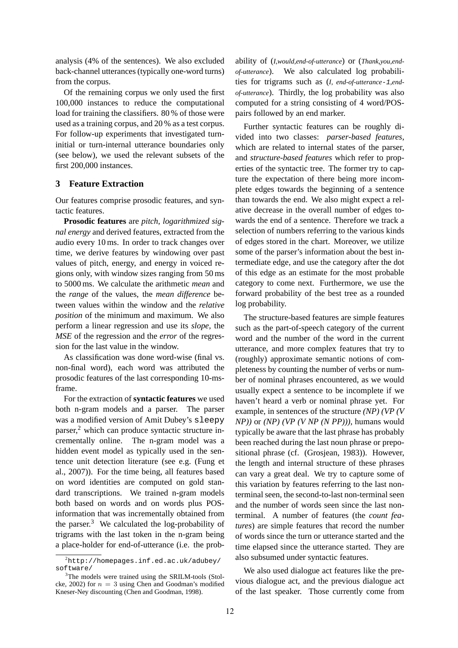analysis (4% of the sentences). We also excluded back-channel utterances (typically one-word turns) from the corpus.

Of the remaining corpus we only used the first 100,000 instances to reduce the computational load for training the classifiers. 80 % of those were used as a training corpus, and 20 % as a test corpus. For follow-up experiments that investigated turninitial or turn-internal utterance boundaries only (see below), we used the relevant subsets of the first 200,000 instances.

### **3 Feature Extraction**

Our features comprise prosodic features, and syntactic features.

**Prosodic features** are *pitch*, *logarithmized signal energy* and derived features, extracted from the audio every 10 ms. In order to track changes over time, we derive features by windowing over past values of pitch, energy, and energy in voiced regions only, with window sizes ranging from 50 ms to 5000 ms. We calculate the arithmetic *mean* and the *range* of the values, the *mean difference* between values within the window and the *relative position* of the minimum and maximum. We also perform a linear regression and use its *slope*, the *MSE* of the regression and the *error* of the regression for the last value in the window.

As classification was done word-wise (final vs. non-final word), each word was attributed the prosodic features of the last corresponding 10-msframe.

For the extraction of **syntactic features** we used both n-gram models and a parser. The parser was a modified version of Amit Dubey's sleepy  $parser$ , which can produce syntactic structure incrementally online. The n-gram model was a hidden event model as typically used in the sentence unit detection literature (see e.g. (Fung et al., 2007)). For the time being, all features based on word identities are computed on gold standard transcriptions. We trained n-gram models both based on words and on words plus POSinformation that was incrementally obtained from the parser. $3$  We calculated the log-probability of trigrams with the last token in the n-gram being a place-holder for end-of-utterance (i.e. the probability of (*I,would,end-of-utterance*) or (*Thank,you,endof-utterance*). We also calculated log probabilities for trigrams such as (*I, end-of-utterance*-1*,endof-utterance*). Thirdly, the log probability was also computed for a string consisting of 4 word/POSpairs followed by an end marker.

Further syntactic features can be roughly divided into two classes: *parser-based features*, which are related to internal states of the parser, and *structure-based features* which refer to properties of the syntactic tree. The former try to capture the expectation of there being more incomplete edges towards the beginning of a sentence than towards the end. We also might expect a relative decrease in the overall number of edges towards the end of a sentence. Therefore we track a selection of numbers referring to the various kinds of edges stored in the chart. Moreover, we utilize some of the parser's information about the best intermediate edge, and use the category after the dot of this edge as an estimate for the most probable category to come next. Furthermore, we use the forward probability of the best tree as a rounded log probability.

The structure-based features are simple features such as the part-of-speech category of the current word and the number of the word in the current utterance, and more complex features that try to (roughly) approximate semantic notions of completeness by counting the number of verbs or number of nominal phrases encountered, as we would usually expect a sentence to be incomplete if we haven't heard a verb or nominal phrase yet. For example, in sentences of the structure *(NP) (VP (V NP))* or *(NP) (VP (V NP (N PP)))*, humans would typically be aware that the last phrase has probably been reached during the last noun phrase or prepositional phrase (cf. (Grosjean, 1983)). However, the length and internal structure of these phrases can vary a great deal. We try to capture some of this variation by features referring to the last nonterminal seen, the second-to-last non-terminal seen and the number of words seen since the last nonterminal. A number of features (the *count features*) are simple features that record the number of words since the turn or utterance started and the time elapsed since the utterance started. They are also subsumed under syntactic features.

We also used dialogue act features like the previous dialogue act, and the previous dialogue act of the last speaker. Those currently come from

 $^{2}$ http://homepages.inf.ed.ac.uk/adubey/ software/

<sup>&</sup>lt;sup>3</sup>The models were trained using the SRILM-tools (Stolcke, 2002) for  $n = 3$  using Chen and Goodman's modified Kneser-Ney discounting (Chen and Goodman, 1998).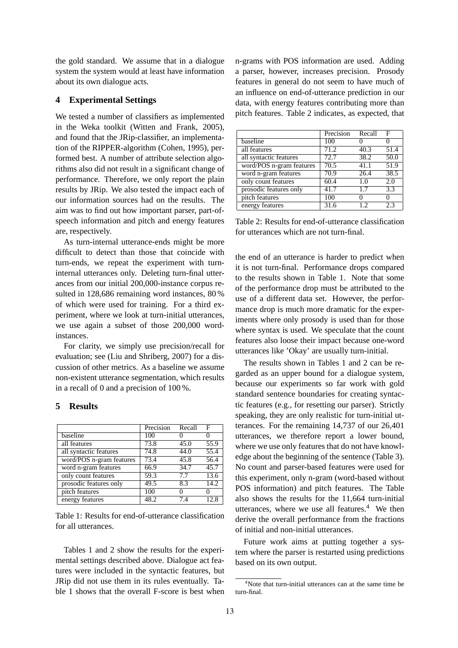the gold standard. We assume that in a dialogue system the system would at least have information about its own dialogue acts.

### **4 Experimental Settings**

We tested a number of classifiers as implemented in the Weka toolkit (Witten and Frank, 2005), and found that the JRip-classifier, an implementation of the RIPPER-algorithm (Cohen, 1995), performed best. A number of attribute selection algorithms also did not result in a significant change of performance. Therefore, we only report the plain results by JRip. We also tested the impact each of our information sources had on the results. The aim was to find out how important parser, part-ofspeech information and pitch and energy features are, respectively.

As turn-internal utterance-ends might be more difficult to detect than those that coincide with turn-ends, we repeat the experiment with turninternal utterances only. Deleting turn-final utterances from our initial 200,000-instance corpus resulted in 128,686 remaining word instances, 80 % of which were used for training. For a third experiment, where we look at turn-initial utterances, we use again a subset of those 200,000 wordinstances.

For clarity, we simply use precision/recall for evaluation; see (Liu and Shriberg, 2007) for a discussion of other metrics. As a baseline we assume non-existent utterance segmentation, which results in a recall of 0 and a precision of 100 %.

### **5 Results**

|                          | Precision         | Recall            | F                 |
|--------------------------|-------------------|-------------------|-------------------|
| baseline                 | 100               | $\mathbf{\Omega}$ | $\left( \right)$  |
| all features             | 73.8              | 45.0              | 55.9              |
| all syntactic features   | 74.8              | 44.0              | $\overline{55.4}$ |
| word/POS n-gram features | 73.4              | 45.8              | 56.4              |
| word n-gram features     | 66.9              | 34.7              | 45.7              |
| only count features      | $\overline{59.3}$ | 7.7               | 13.6              |
| prosodic features only   | 49.5              | 8.3               | 14.2              |
| pitch features           | 100               | $\theta$          |                   |
| energy features          | 48.2              | 7.4               |                   |

Table 1: Results for end-of-utterance classification for all utterances.

Tables 1 and 2 show the results for the experimental settings described above. Dialogue act features were included in the syntactic features, but JRip did not use them in its rules eventually. Table 1 shows that the overall F-score is best when

n-grams with POS information are used. Adding a parser, however, increases precision. Prosody features in general do not seem to have much of an influence on end-of-utterance prediction in our data, with energy features contributing more than pitch features. Table 2 indicates, as expected, that

|                          | Precision | Recall | F                |
|--------------------------|-----------|--------|------------------|
| baseline                 | 100       |        |                  |
| all features             | 71.2      | 40.3   | 51.4             |
| all syntactic features   | 72.7      | 38.2   | 50.0             |
| word/POS n-gram features | 70.5      | 41.1   | 51.9             |
| word n-gram features     | 70.9      | 26.4   | 38.5             |
| only count features      | 60.4      | 1.0    | 2.0              |
| prosodic features only   | 41.7      | 1.7    | $\overline{3.3}$ |
| pitch features           | 100       |        |                  |
| energy features          | 31.6      | 1.2.   | 2.3              |

Table 2: Results for end-of-utterance classification for utterances which are not turn-final.

the end of an utterance is harder to predict when it is not turn-final. Performance drops compared to the results shown in Table 1. Note that some of the performance drop must be attributed to the use of a different data set. However, the performance drop is much more dramatic for the experiments where only prosody is used than for those where syntax is used. We speculate that the count features also loose their impact because one-word utterances like 'Okay' are usually turn-initial.

The results shown in Tables 1 and 2 can be regarded as an upper bound for a dialogue system, because our experiments so far work with gold standard sentence boundaries for creating syntactic features (e.g., for resetting our parser). Strictly speaking, they are only realistic for turn-initial utterances. For the remaining 14,737 of our 26,401 utterances, we therefore report a lower bound, where we use only features that do not have knowledge about the beginning of the sentence (Table 3). No count and parser-based features were used for this experiment, only n-gram (word-based without POS information) and pitch features. The Table also shows the results for the 11,664 turn-initial utterances, where we use all features. $4$  We then derive the overall performance from the fractions of initial and non-initial utterances.

Future work aims at putting together a system where the parser is restarted using predictions based on its own output.

<sup>4</sup>Note that turn-initial utterances can at the same time be turn-final.